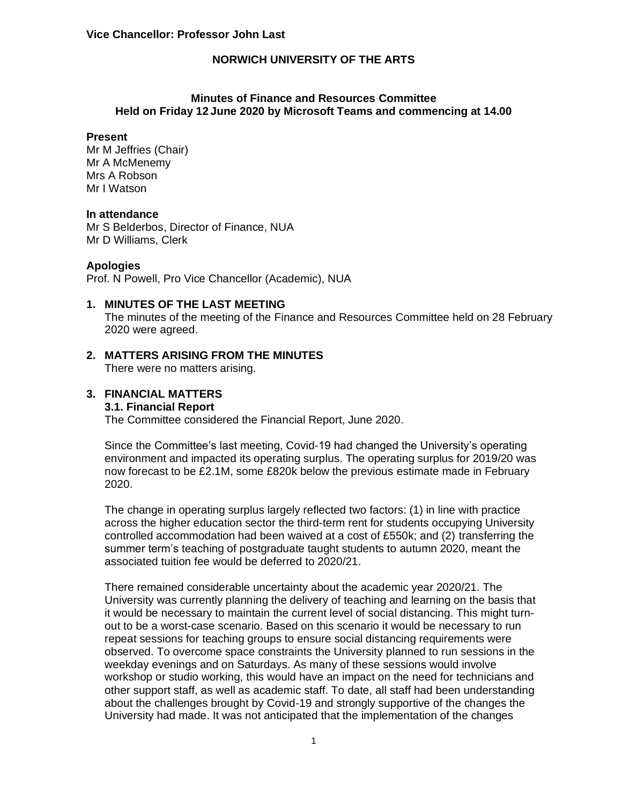### **Minutes of Finance and Resources Committee Held on Friday 12 June 2020 by Microsoft Teams and commencing at 14.00**

#### **Present**

Mr M Jeffries (Chair) Mr A McMenemy Mrs A Robson Mr I Watson

#### **In attendance**

Mr S Belderbos, Director of Finance, NUA Mr D Williams, Clerk

#### **Apologies**

Prof. N Powell, Pro Vice Chancellor (Academic), NUA

#### **1. MINUTES OF THE LAST MEETING**

The minutes of the meeting of the Finance and Resources Committee held on 28 February 2020 were agreed.

### **2. MATTERS ARISING FROM THE MINUTES**

There were no matters arising.

#### **3. FINANCIAL MATTERS 3.1. Financial Report**

The Committee considered the Financial Report, June 2020.

Since the Committee's last meeting, Covid-19 had changed the University's operating environment and impacted its operating surplus. The operating surplus for 2019/20 was now forecast to be £2.1M, some £820k below the previous estimate made in February 2020.

The change in operating surplus largely reflected two factors: (1) in line with practice across the higher education sector the third-term rent for students occupying University controlled accommodation had been waived at a cost of £550k; and (2) transferring the summer term's teaching of postgraduate taught students to autumn 2020, meant the associated tuition fee would be deferred to 2020/21.

There remained considerable uncertainty about the academic year 2020/21. The University was currently planning the delivery of teaching and learning on the basis that it would be necessary to maintain the current level of social distancing. This might turnout to be a worst-case scenario. Based on this scenario it would be necessary to run repeat sessions for teaching groups to ensure social distancing requirements were observed. To overcome space constraints the University planned to run sessions in the weekday evenings and on Saturdays. As many of these sessions would involve workshop or studio working, this would have an impact on the need for technicians and other support staff, as well as academic staff. To date, all staff had been understanding about the challenges brought by Covid-19 and strongly supportive of the changes the University had made. It was not anticipated that the implementation of the changes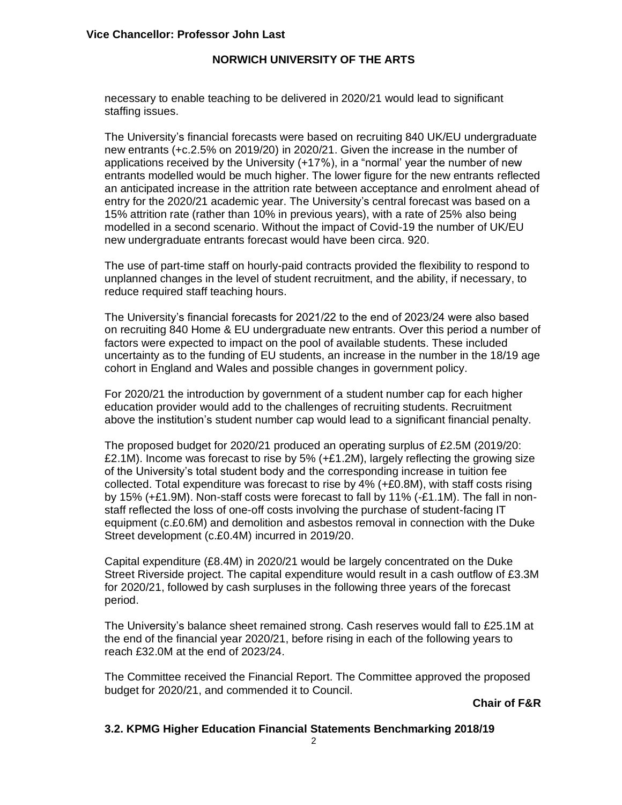necessary to enable teaching to be delivered in 2020/21 would lead to significant staffing issues.

The University's financial forecasts were based on recruiting 840 UK/EU undergraduate new entrants (+c.2.5% on 2019/20) in 2020/21. Given the increase in the number of applications received by the University (+17%), in a "normal' year the number of new entrants modelled would be much higher. The lower figure for the new entrants reflected an anticipated increase in the attrition rate between acceptance and enrolment ahead of entry for the 2020/21 academic year. The University's central forecast was based on a 15% attrition rate (rather than 10% in previous years), with a rate of 25% also being modelled in a second scenario. Without the impact of Covid-19 the number of UK/EU new undergraduate entrants forecast would have been circa. 920.

The use of part-time staff on hourly-paid contracts provided the flexibility to respond to unplanned changes in the level of student recruitment, and the ability, if necessary, to reduce required staff teaching hours.

The University's financial forecasts for 2021/22 to the end of 2023/24 were also based on recruiting 840 Home & EU undergraduate new entrants. Over this period a number of factors were expected to impact on the pool of available students. These included uncertainty as to the funding of EU students, an increase in the number in the 18/19 age cohort in England and Wales and possible changes in government policy.

For 2020/21 the introduction by government of a student number cap for each higher education provider would add to the challenges of recruiting students. Recruitment above the institution's student number cap would lead to a significant financial penalty.

The proposed budget for 2020/21 produced an operating surplus of £2.5M (2019/20: £2.1M). Income was forecast to rise by 5%  $(+£1.2M)$ , largely reflecting the growing size of the University's total student body and the corresponding increase in tuition fee collected. Total expenditure was forecast to rise by 4% (+£0.8M), with staff costs rising by 15% (+£1.9M). Non-staff costs were forecast to fall by 11% (-£1.1M). The fall in nonstaff reflected the loss of one-off costs involving the purchase of student-facing IT equipment (c.£0.6M) and demolition and asbestos removal in connection with the Duke Street development (c.£0.4M) incurred in 2019/20.

Capital expenditure (£8.4M) in 2020/21 would be largely concentrated on the Duke Street Riverside project. The capital expenditure would result in a cash outflow of £3.3M for 2020/21, followed by cash surpluses in the following three years of the forecast period.

The University's balance sheet remained strong. Cash reserves would fall to £25.1M at the end of the financial year 2020/21, before rising in each of the following years to reach £32.0M at the end of 2023/24.

The Committee received the Financial Report. The Committee approved the proposed budget for 2020/21, and commended it to Council.

**Chair of F&R**

### **3.2. KPMG Higher Education Financial Statements Benchmarking 2018/19**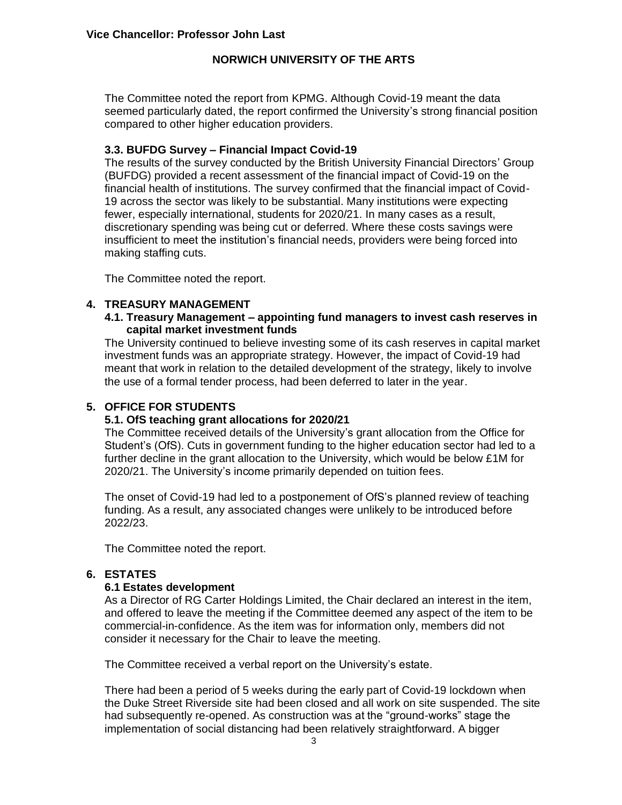The Committee noted the report from KPMG. Although Covid-19 meant the data seemed particularly dated, the report confirmed the University's strong financial position compared to other higher education providers.

### **3.3. BUFDG Survey – Financial Impact Covid-19**

The results of the survey conducted by the British University Financial Directors' Group (BUFDG) provided a recent assessment of the financial impact of Covid-19 on the financial health of institutions. The survey confirmed that the financial impact of Covid-19 across the sector was likely to be substantial. Many institutions were expecting fewer, especially international, students for 2020/21. In many cases as a result, discretionary spending was being cut or deferred. Where these costs savings were insufficient to meet the institution's financial needs, providers were being forced into making staffing cuts.

The Committee noted the report.

### **4. TREASURY MANAGEMENT**

### **4.1. Treasury Management – appointing fund managers to invest cash reserves in capital market investment funds**

The University continued to believe investing some of its cash reserves in capital market investment funds was an appropriate strategy. However, the impact of Covid-19 had meant that work in relation to the detailed development of the strategy, likely to involve the use of a formal tender process, had been deferred to later in the year.

### **5. OFFICE FOR STUDENTS**

### **5.1. OfS teaching grant allocations for 2020/21**

The Committee received details of the University's grant allocation from the Office for Student's (OfS). Cuts in government funding to the higher education sector had led to a further decline in the grant allocation to the University, which would be below £1M for 2020/21. The University's income primarily depended on tuition fees.

The onset of Covid-19 had led to a postponement of OfS's planned review of teaching funding. As a result, any associated changes were unlikely to be introduced before 2022/23.

The Committee noted the report.

### **6. ESTATES**

## **6.1 Estates development**

As a Director of RG Carter Holdings Limited, the Chair declared an interest in the item, and offered to leave the meeting if the Committee deemed any aspect of the item to be commercial-in-confidence. As the item was for information only, members did not consider it necessary for the Chair to leave the meeting.

The Committee received a verbal report on the University's estate.

There had been a period of 5 weeks during the early part of Covid-19 lockdown when the Duke Street Riverside site had been closed and all work on site suspended. The site had subsequently re-opened. As construction was at the "ground-works" stage the implementation of social distancing had been relatively straightforward. A bigger